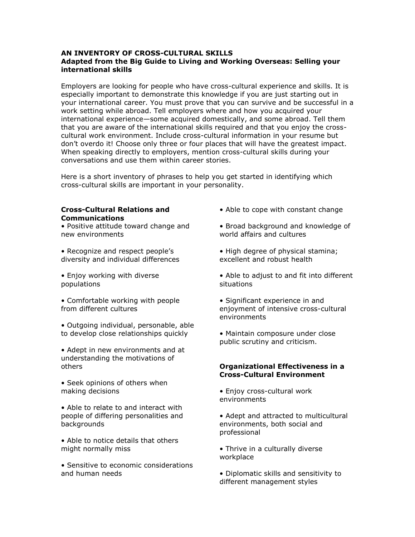## **AN INVENTORY OF CROSS-CULTURAL SKILLS Adapted from the Big Guide to Living and Working Overseas: Selling your international skills**

Employers are looking for people who have cross-cultural experience and skills. It is especially important to demonstrate this knowledge if you are just starting out in your international career. You must prove that you can survive and be successful in a work setting while abroad. Tell employers where and how you acquired your international experience—some acquired domestically, and some abroad. Tell them that you are aware of the international skills required and that you enjoy the crosscultural work environment. Include cross-cultural information in your resume but don't overdo it! Choose only three or four places that will have the greatest impact. When speaking directly to employers, mention cross-cultural skills during your conversations and use them within career stories.

Here is a short inventory of phrases to help you get started in identifying which cross-cultural skills are important in your personality.

## **Cross-Cultural Relations and Communications**

• Positive attitude toward change and new environments

• Recognize and respect people's diversity and individual differences

- Enjoy working with diverse populations
- Comfortable working with people from different cultures

• Outgoing individual, personable, able to develop close relationships quickly

• Adept in new environments and at understanding the motivations of others

• Seek opinions of others when making decisions

• Able to relate to and interact with people of differing personalities and backgrounds

- Able to notice details that others might normally miss
- Sensitive to economic considerations and human needs
- Able to cope with constant change
- Broad background and knowledge of world affairs and cultures
- High degree of physical stamina; excellent and robust health
- Able to adjust to and fit into different situations
- Significant experience in and enjoyment of intensive cross-cultural environments
- Maintain composure under close public scrutiny and criticism.

## **Organizational Effectiveness in a Cross-Cultural Environment**

• Enjoy cross-cultural work environments

• Adept and attracted to multicultural environments, both social and professional

- Thrive in a culturally diverse workplace
- Diplomatic skills and sensitivity to different management styles